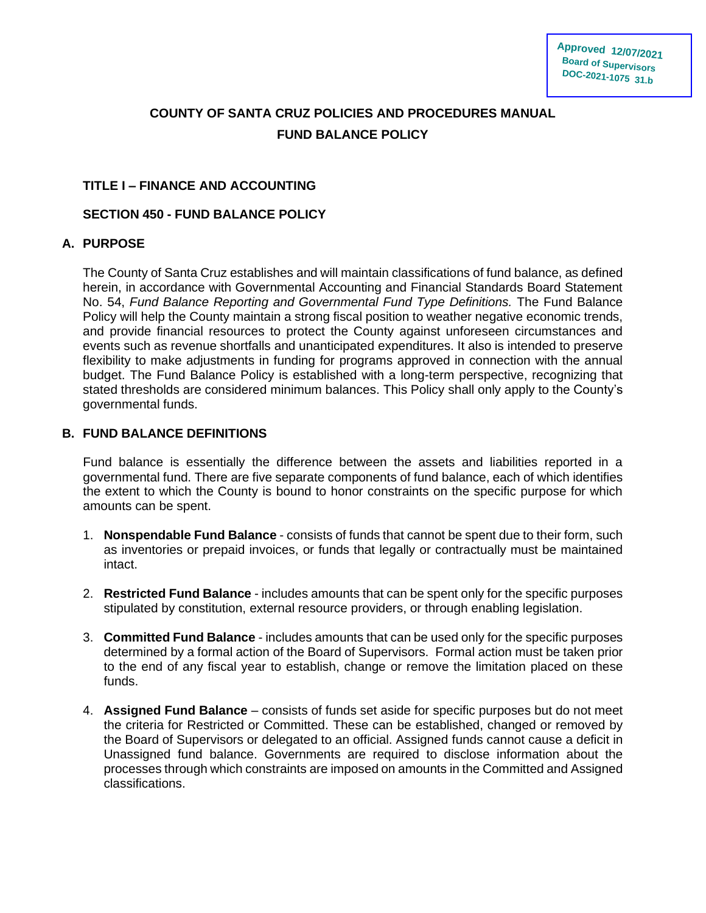# **COUNTY OF SANTA CRUZ POLICIES AND PROCEDURES MANUAL FUND BALANCE POLICY**

# **TITLE I – FINANCE AND ACCOUNTING**

# **SECTION 450 - FUND BALANCE POLICY**

# **A. PURPOSE**

The County of Santa Cruz establishes and will maintain classifications of fund balance, as defined herein, in accordance with Governmental Accounting and Financial Standards Board Statement No. 54, *Fund Balance Reporting and Governmental Fund Type Definitions.* The Fund Balance Policy will help the County maintain a strong fiscal position to weather negative economic trends, and provide financial resources to protect the County against unforeseen circumstances and events such as revenue shortfalls and unanticipated expenditures. It also is intended to preserve flexibility to make adjustments in funding for programs approved in connection with the annual budget. The Fund Balance Policy is established with a long-term perspective, recognizing that stated thresholds are considered minimum balances. This Policy shall only apply to the County's governmental funds.

# **B. FUND BALANCE DEFINITIONS**

Fund balance is essentially the difference between the assets and liabilities reported in a governmental fund. There are five separate components of fund balance, each of which identifies the extent to which the County is bound to honor constraints on the specific purpose for which amounts can be spent.

- 1. **Nonspendable Fund Balance** consists of funds that cannot be spent due to their form, such as inventories or prepaid invoices, or funds that legally or contractually must be maintained intact.
- 2. **Restricted Fund Balance** includes amounts that can be spent only for the specific purposes stipulated by constitution, external resource providers, or through enabling legislation.
- 3. **Committed Fund Balance** includes amounts that can be used only for the specific purposes determined by a formal action of the Board of Supervisors. Formal action must be taken prior to the end of any fiscal year to establish, change or remove the limitation placed on these funds.
- 4. **Assigned Fund Balance**  consists of funds set aside for specific purposes but do not meet the criteria for Restricted or Committed. These can be established, changed or removed by the Board of Supervisors or delegated to an official. Assigned funds cannot cause a deficit in Unassigned fund balance. Governments are required to disclose information about the processes through which constraints are imposed on amounts in the Committed and Assigned classifications.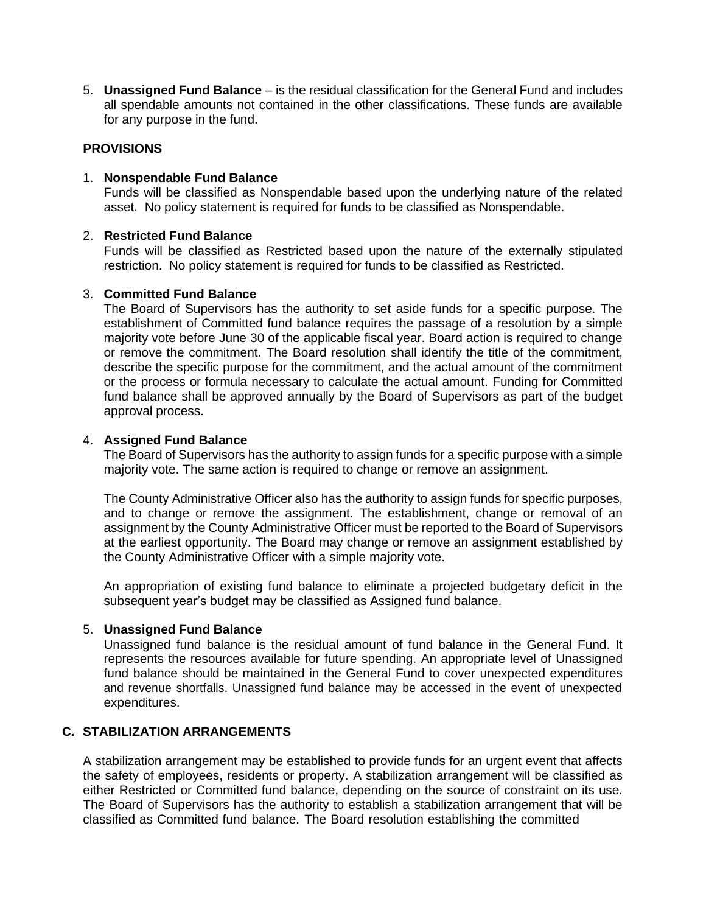5. **Unassigned Fund Balance** – is the residual classification for the General Fund and includes all spendable amounts not contained in the other classifications. These funds are available for any purpose in the fund.

# **PROVISIONS**

#### 1. **Nonspendable Fund Balance**

Funds will be classified as Nonspendable based upon the underlying nature of the related asset. No policy statement is required for funds to be classified as Nonspendable.

# 2. **Restricted Fund Balance**

Funds will be classified as Restricted based upon the nature of the externally stipulated restriction. No policy statement is required for funds to be classified as Restricted.

# 3. **Committed Fund Balance**

The Board of Supervisors has the authority to set aside funds for a specific purpose. The establishment of Committed fund balance requires the passage of a resolution by a simple majority vote before June 30 of the applicable fiscal year. Board action is required to change or remove the commitment. The Board resolution shall identify the title of the commitment, describe the specific purpose for the commitment, and the actual amount of the commitment or the process or formula necessary to calculate the actual amount. Funding for Committed fund balance shall be approved annually by the Board of Supervisors as part of the budget approval process.

# 4. **Assigned Fund Balance**

The Board of Supervisors has the authority to assign funds for a specific purpose with a simple majority vote. The same action is required to change or remove an assignment.

The County Administrative Officer also has the authority to assign funds for specific purposes, and to change or remove the assignment. The establishment, change or removal of an assignment by the County Administrative Officer must be reported to the Board of Supervisors at the earliest opportunity. The Board may change or remove an assignment established by the County Administrative Officer with a simple majority vote.

An appropriation of existing fund balance to eliminate a projected budgetary deficit in the subsequent year's budget may be classified as Assigned fund balance.

# 5. **Unassigned Fund Balance**

Unassigned fund balance is the residual amount of fund balance in the General Fund. It represents the resources available for future spending. An appropriate level of Unassigned fund balance should be maintained in the General Fund to cover unexpected expenditures and revenue shortfalls. Unassigned fund balance may be accessed in the event of unexpected expenditures.

# **C. STABILIZATION ARRANGEMENTS**

A stabilization arrangement may be established to provide funds for an urgent event that affects the safety of employees, residents or property. A stabilization arrangement will be classified as either Restricted or Committed fund balance, depending on the source of constraint on its use. The Board of Supervisors has the authority to establish a stabilization arrangement that will be classified as Committed fund balance. The Board resolution establishing the committed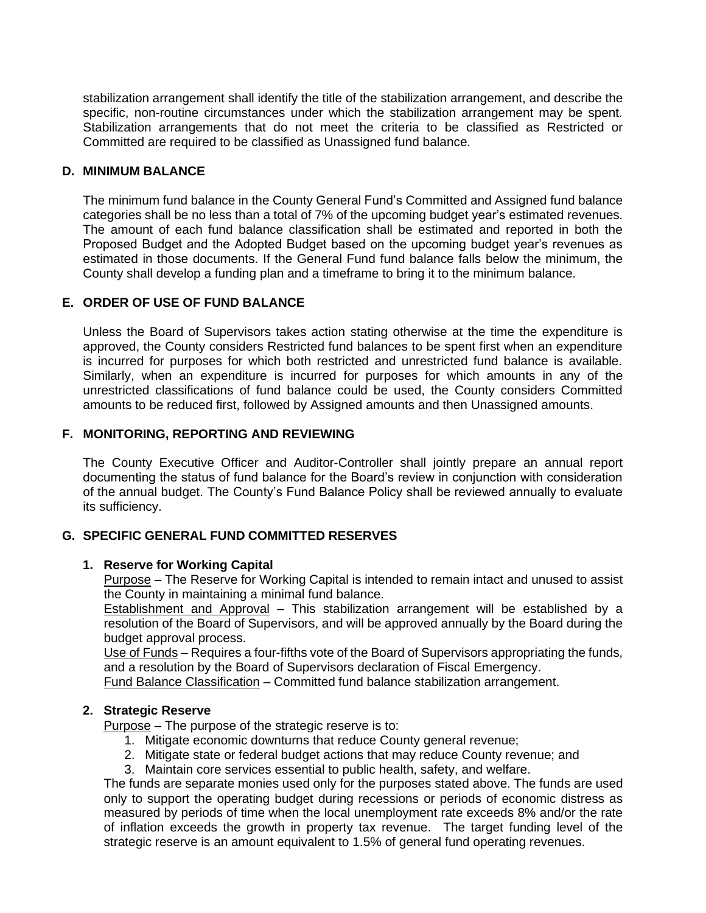stabilization arrangement shall identify the title of the stabilization arrangement, and describe the specific, non-routine circumstances under which the stabilization arrangement may be spent. Stabilization arrangements that do not meet the criteria to be classified as Restricted or Committed are required to be classified as Unassigned fund balance.

# **D. MINIMUM BALANCE**

The minimum fund balance in the County General Fund's Committed and Assigned fund balance categories shall be no less than a total of 7% of the upcoming budget year's estimated revenues. The amount of each fund balance classification shall be estimated and reported in both the Proposed Budget and the Adopted Budget based on the upcoming budget year's revenues as estimated in those documents. If the General Fund fund balance falls below the minimum, the County shall develop a funding plan and a timeframe to bring it to the minimum balance.

# **E. ORDER OF USE OF FUND BALANCE**

Unless the Board of Supervisors takes action stating otherwise at the time the expenditure is approved, the County considers Restricted fund balances to be spent first when an expenditure is incurred for purposes for which both restricted and unrestricted fund balance is available. Similarly, when an expenditure is incurred for purposes for which amounts in any of the unrestricted classifications of fund balance could be used, the County considers Committed amounts to be reduced first, followed by Assigned amounts and then Unassigned amounts.

# **F. MONITORING, REPORTING AND REVIEWING**

The County Executive Officer and Auditor-Controller shall jointly prepare an annual report documenting the status of fund balance for the Board's review in conjunction with consideration of the annual budget. The County's Fund Balance Policy shall be reviewed annually to evaluate its sufficiency.

# **G. SPECIFIC GENERAL FUND COMMITTED RESERVES**

#### **1. Reserve for Working Capital**

Purpose – The Reserve for Working Capital is intended to remain intact and unused to assist the County in maintaining a minimal fund balance.

Establishment and Approval – This stabilization arrangement will be established by a resolution of the Board of Supervisors, and will be approved annually by the Board during the budget approval process.

Use of Funds - Requires a four-fifths vote of the Board of Supervisors appropriating the funds, and a resolution by the Board of Supervisors declaration of Fiscal Emergency.

Fund Balance Classification – Committed fund balance stabilization arrangement.

# **2. Strategic Reserve**

Purpose – The purpose of the strategic reserve is to:

- 1. Mitigate economic downturns that reduce County general revenue;
- 2. Mitigate state or federal budget actions that may reduce County revenue; and
- 3. Maintain core services essential to public health, safety, and welfare.

The funds are separate monies used only for the purposes stated above. The funds are used only to support the operating budget during recessions or periods of economic distress as measured by periods of time when the local unemployment rate exceeds 8% and/or the rate of inflation exceeds the growth in property tax revenue. The target funding level of the strategic reserve is an amount equivalent to 1.5% of general fund operating revenues.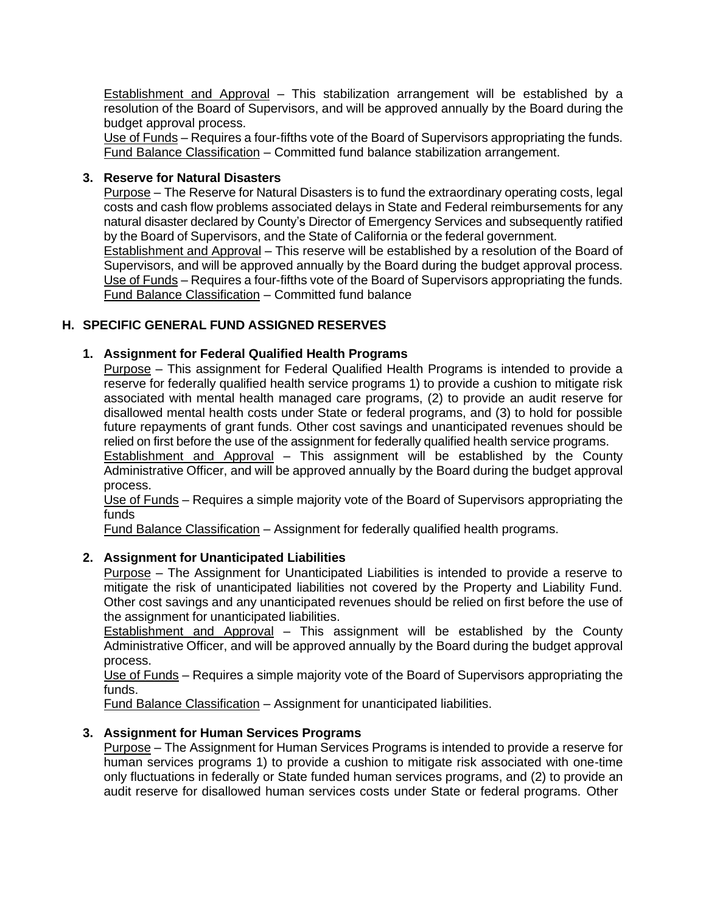Establishment and Approval – This stabilization arrangement will be established by a resolution of the Board of Supervisors, and will be approved annually by the Board during the budget approval process.

Use of Funds – Requires a four-fifths vote of the Board of Supervisors appropriating the funds. Fund Balance Classification – Committed fund balance stabilization arrangement.

#### **3. Reserve for Natural Disasters**

Purpose – The Reserve for Natural Disasters is to fund the extraordinary operating costs, legal costs and cash flow problems associated delays in State and Federal reimbursements for any natural disaster declared by County's Director of Emergency Services and subsequently ratified by the Board of Supervisors, and the State of California or the federal government.

Establishment and Approval – This reserve will be established by a resolution of the Board of Supervisors, and will be approved annually by the Board during the budget approval process. Use of Funds – Requires a four-fifths vote of the Board of Supervisors appropriating the funds. Fund Balance Classification – Committed fund balance

# **H. SPECIFIC GENERAL FUND ASSIGNED RESERVES**

#### **1. Assignment for Federal Qualified Health Programs**

Purpose – This assignment for Federal Qualified Health Programs is intended to provide a reserve for federally qualified health service programs 1) to provide a cushion to mitigate risk associated with mental health managed care programs, (2) to provide an audit reserve for disallowed mental health costs under State or federal programs, and (3) to hold for possible future repayments of grant funds. Other cost savings and unanticipated revenues should be relied on first before the use of the assignment for federally qualified health service programs.

Establishment and Approval – This assignment will be established by the County Administrative Officer, and will be approved annually by the Board during the budget approval process.

Use of Funds – Requires a simple majority vote of the Board of Supervisors appropriating the funds

Fund Balance Classification – Assignment for federally qualified health programs.

#### **2. Assignment for Unanticipated Liabilities**

Purpose – The Assignment for Unanticipated Liabilities is intended to provide a reserve to mitigate the risk of unanticipated liabilities not covered by the Property and Liability Fund. Other cost savings and any unanticipated revenues should be relied on first before the use of the assignment for unanticipated liabilities.

Establishment and Approval – This assignment will be established by the County Administrative Officer, and will be approved annually by the Board during the budget approval process.

Use of Funds – Requires a simple majority vote of the Board of Supervisors appropriating the funds.

Fund Balance Classification – Assignment for unanticipated liabilities.

#### **3. Assignment for Human Services Programs**

Purpose – The Assignment for Human Services Programs is intended to provide a reserve for human services programs 1) to provide a cushion to mitigate risk associated with one-time only fluctuations in federally or State funded human services programs, and (2) to provide an audit reserve for disallowed human services costs under State or federal programs. Other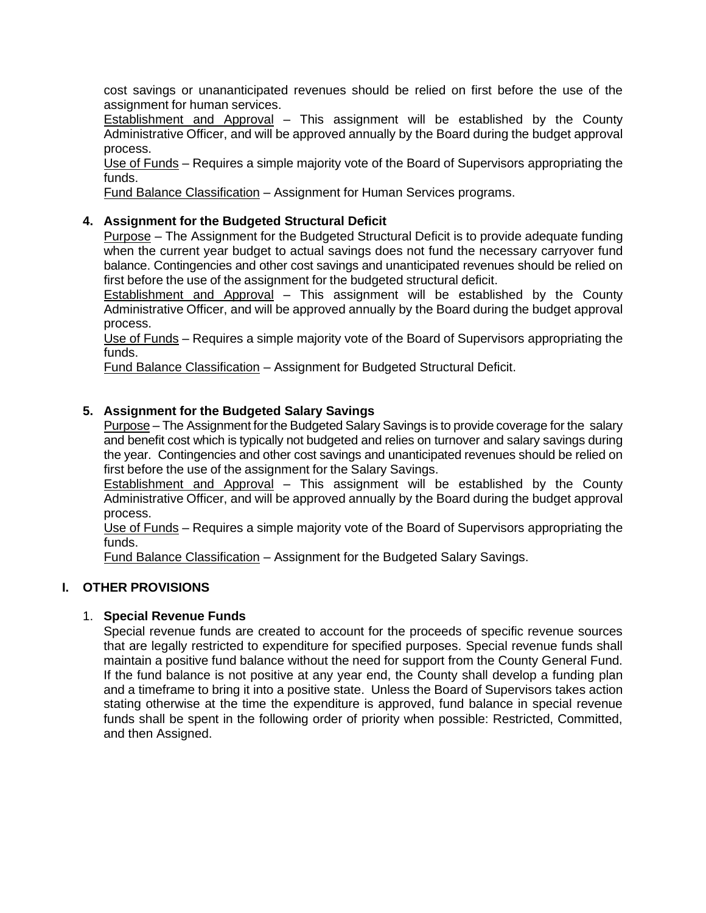cost savings or unananticipated revenues should be relied on first before the use of the assignment for human services.

Establishment and Approval – This assignment will be established by the County Administrative Officer, and will be approved annually by the Board during the budget approval process.

Use of Funds – Requires a simple majority vote of the Board of Supervisors appropriating the funds.

Fund Balance Classification – Assignment for Human Services programs.

# **4. Assignment for the Budgeted Structural Deficit**

Purpose – The Assignment for the Budgeted Structural Deficit is to provide adequate funding when the current year budget to actual savings does not fund the necessary carryover fund balance. Contingencies and other cost savings and unanticipated revenues should be relied on first before the use of the assignment for the budgeted structural deficit.

Establishment and Approval – This assignment will be established by the County Administrative Officer, and will be approved annually by the Board during the budget approval process.

Use of Funds – Requires a simple majority vote of the Board of Supervisors appropriating the funds.

Fund Balance Classification – Assignment for Budgeted Structural Deficit.

# **5. Assignment for the Budgeted Salary Savings**

Purpose – The Assignment for the Budgeted Salary Savings is to provide coverage for the salary and benefit cost which is typically not budgeted and relies on turnover and salary savings during the year. Contingencies and other cost savings and unanticipated revenues should be relied on first before the use of the assignment for the Salary Savings.

Establishment and Approval – This assignment will be established by the County Administrative Officer, and will be approved annually by the Board during the budget approval process.

Use of Funds – Requires a simple majority vote of the Board of Supervisors appropriating the funds.

Fund Balance Classification – Assignment for the Budgeted Salary Savings.

#### **I. OTHER PROVISIONS**

#### 1. **Special Revenue Funds**

Special revenue funds are created to account for the proceeds of specific revenue sources that are legally restricted to expenditure for specified purposes. Special revenue funds shall maintain a positive fund balance without the need for support from the County General Fund. If the fund balance is not positive at any year end, the County shall develop a funding plan and a timeframe to bring it into a positive state. Unless the Board of Supervisors takes action stating otherwise at the time the expenditure is approved, fund balance in special revenue funds shall be spent in the following order of priority when possible: Restricted, Committed, and then Assigned.